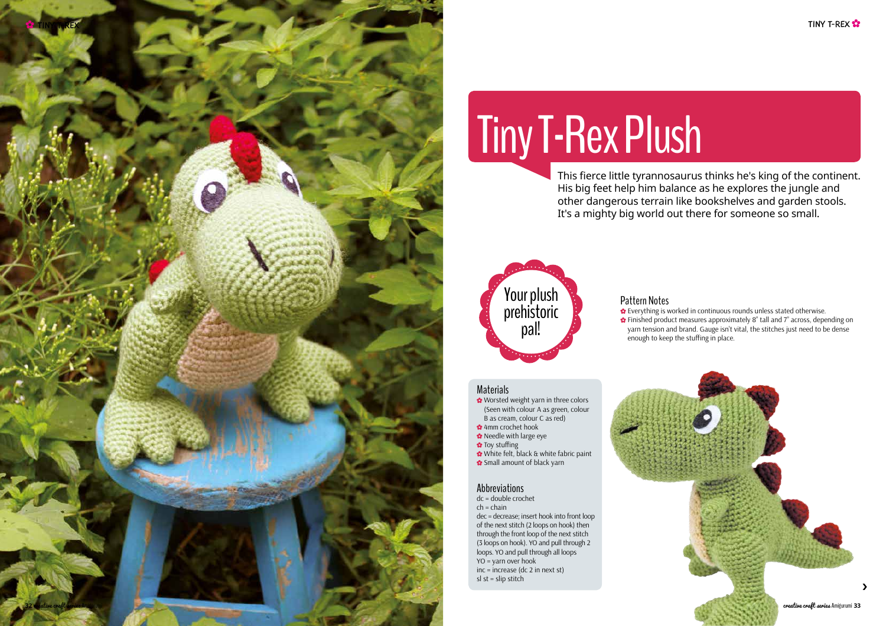›





# Tiny T-Rex Plush

This fierce little tyrannosaurus thinks he's king of the continent. His big feet help him balance as he explores the jungle and other dangerous terrain like bookshelves and garden stools. It's a mighty big world out there for someone so small.

## Materials

- **<sup>◆</sup>** Worsted weight yarn in three colors (Seen with colour A as green, colour B as cream, colour C as red)
- 4mm crochet hook
- \* Needle with large eye
- Toy stuffing
- 
- White felt, black & white fabric paint **্** Small amount of black yarn

Pattern Notes

Everything is worked in continuous rounds unless stated otherwise. Finished product measures approximately 8" tall and 7" across, depending on yarn tension and brand. Gauge isn't vital, the stitches just need to be dense enough to keep the stuffing in place.



# Abbreviations

dc = double crochet  $ch = chain$ dec = decrease; insert hook into front loop of the next stitch (2 loops on hook) then through the front loop of the next stitch (3 loops on hook). YO and pull through 2 loops. YO and pull through all loops  $YO = \text{varn over hook}$ inc = increase (dc 2 in next st) sl st = slip stitch



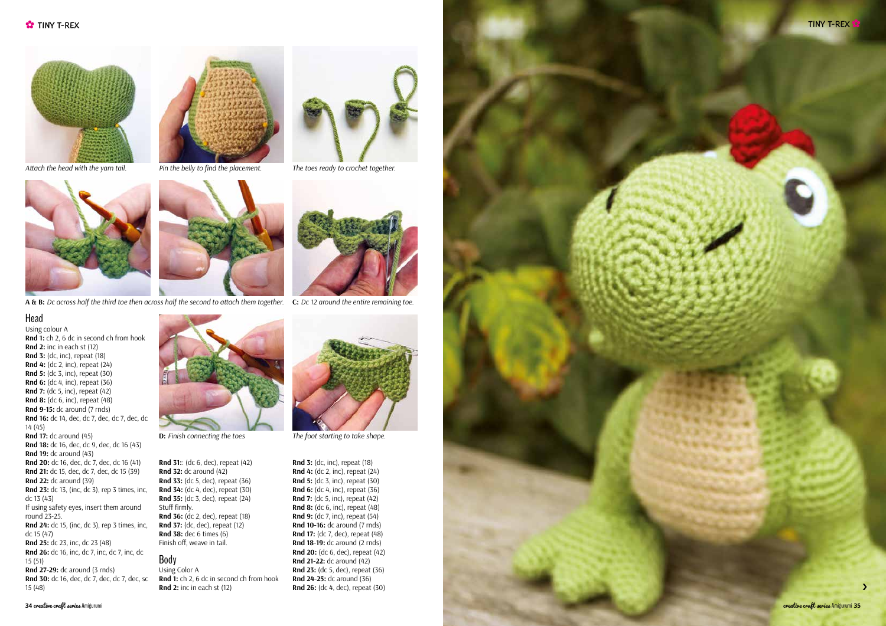







#### Head

Using colour A **Rnd 1:** ch 2, 6 dc in second ch from hook **Rnd 2:** inc in each st (12) **Rnd 3:** (dc, inc), repeat (18) **Rnd 4:** (dc 2, inc), repeat (24) **Rnd 5:** (dc 3, inc), repeat (30) **Rnd 6:** (dc 4, inc), repeat (36) **Rnd 7:** (dc 5, inc), repeat (42) **Rnd 8:** (dc 6, inc), repeat (48) **Rnd 9-15:** dc around (7 rnds) **Rnd 16:** dc 14, dec, dc 7, dec, dc 7, dec, dc 14 (45) **Rnd 17:** dc around (45) **Rnd 18:** dc 16, dec, dc 9, dec, dc 16 (43) **Rnd 19:** dc around (43) **Rnd 20:** dc 16, dec, dc 7, dec, dc 16 (41) **Rnd 21:** dc 15, dec, dc 7, dec, dc 15 (39) **Rnd 22:** dc around (39) **Rnd 23:** dc 13, (inc, dc 3), rep 3 times, inc, dc 13 (43) If using safety eyes, insert them around round 23-25. **Rnd 24:** dc 15, (inc, dc 3), rep 3 times, inc, dc 15 (47) **Rnd 25:** dc 23, inc, dc 23 (48) **Rnd 26:** dc 16, inc, dc 7, inc, dc 7, inc, dc 15 (51) **Rnd 27-29:** dc around (3 rnds) **Rnd 30:** dc 16, dec, dc 7, dec, dc 7, dec, sc 15 (48)



**A & B:** *Dc across half the third toe then across half the second to attach them together.* **C:** *Dc 12 around the entire remaining toe.*

**Rnd 31:**: (dc 6, dec), repeat (42) **Rnd 32:** dc around (42) **Rnd 33:** (dc 5, dec), repeat (36) **Rnd 34:** (dc 4, dec), repeat (30) **Rnd 35:** (dc 3, dec), repeat (24) Stuff firmly. **Rnd 36:** (dc 2, dec), repeat (18) **Rnd 37:** (dc, dec), repeat (12) **Rnd 38:** dec 6 times (6) Finish off, weave in tail.

#### Body

Using Color A **Rnd 1:** ch 2, 6 dc in second ch from hook **Rnd 2:** inc in each st (12)



**D:** *Finish connecting the toes* The foot starting to take shape.

**Rnd 3:** (dc, inc), repeat (18) **Rnd 4:** (dc 2, inc), repeat (24) **Rnd 5:** (dc 3, inc), repeat (30) **Rnd 6:** (dc 4, inc), repeat (36) **Rnd 7:** (dc 5, inc), repeat (42) **Rnd 8:** (dc 6, inc), repeat (48) **Rnd 9:** (dc 7, inc), repeat (54) **Rnd 10-16:** dc around (7 rnds) **Rnd 17:** (dc 7, dec), repeat (48) **Rnd 18-19:** dc around (2 rnds) **Rnd 20:** (dc 6, dec), repeat (42) **Rnd 21-22:** dc around (42) **Rnd 23:** (dc 5, dec), repeat (36) **Rnd 24-25:** dc around (36) **Rnd 26:** (dc 4, dec), repeat (30)





*The toes ready to crochet together.*